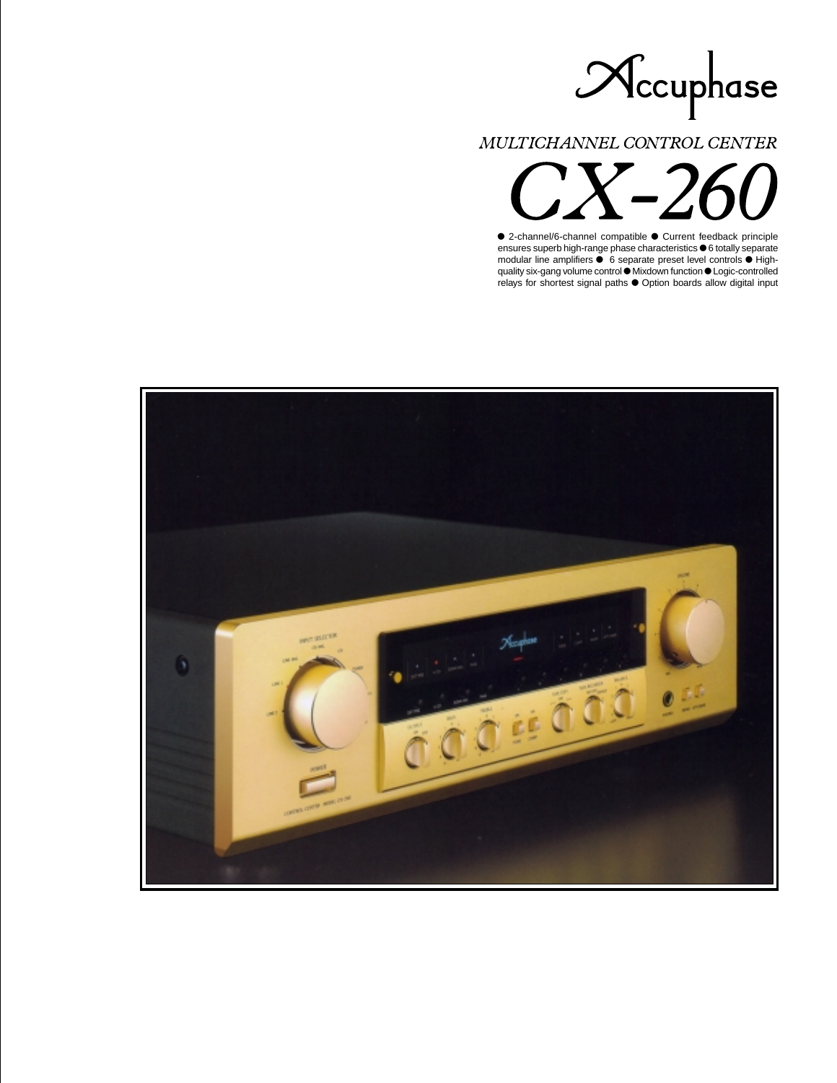

MULTICHANNEL CONTROL CENTER

● 2-channel/6-channel compatible ● Current feedback principle ensures superb high-range phase characteristics  $\bullet$  6 totally separate modular line amplifiers  $\bullet$  6 separate preset level controls  $\bullet$  Highquality six-gang volume control  $\bullet$  Mixdown function  $\bullet$  Logic-controlled relays for shortest signal paths  $\bullet$  Option boards allow digital input

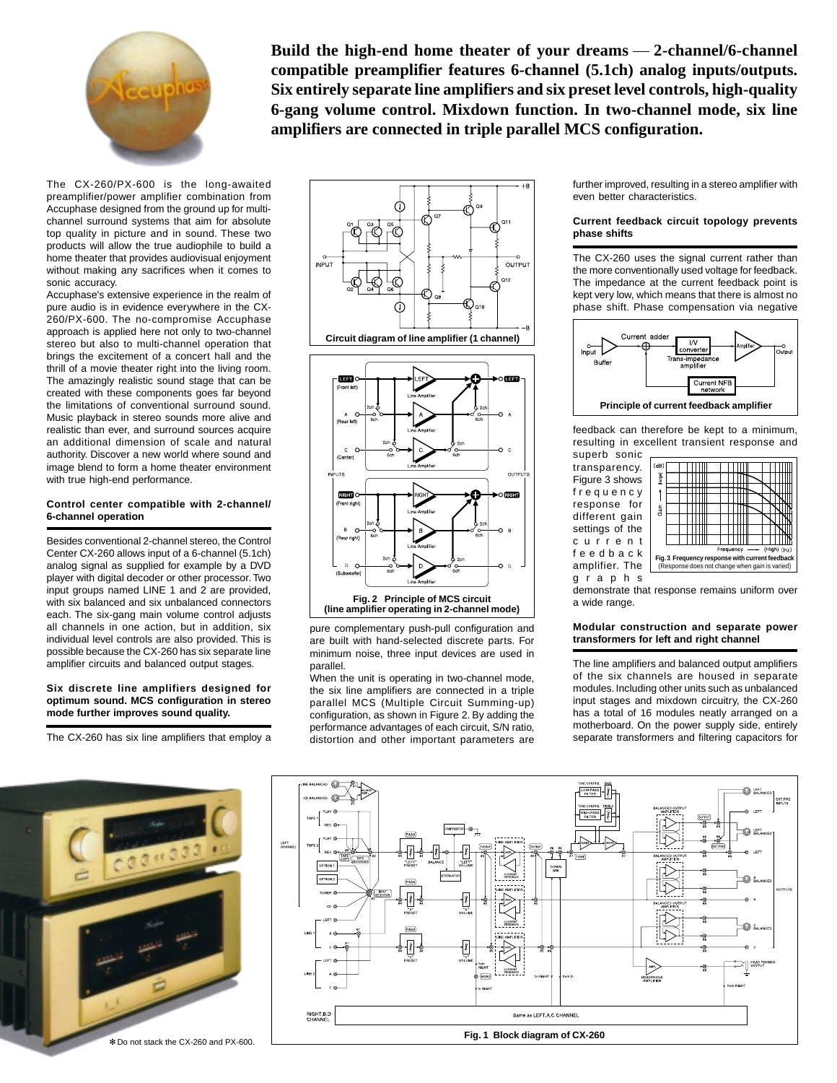

**Build the high-end home theater of your dreams 2-channel/6-channel compatible preamplifier features 6-channel (5.1ch) analog inputs/outputs. Six entirely separate line amplifiers and six preset level controls, high-quality 6-gang volume control. Mixdown function. In two-channel mode, six line amplifiers are connected in triple parallel MCS configuration.**

The CX-260/PX-600 is the long-awaited preamplifier/power amplifier combination from Accuphase designed from the ground up for multichannel surround systems that aim for absolute top quality in picture and in sound. These two products will allow the true audiophile to build a home theater that provides audiovisual enjoyment without making any sacrifices when it comes to sonic accuracy.

Accuphase's extensive experience in the realm of pure audio is in evidence everywhere in the CX-260/PX-600. The no-compromise Accuphase approach is applied here not only to two-channel stereo but also to multi-channel operation that brings the excitement of a concert hall and the thrill of a movie theater right into the living room. The amazingly realistic sound stage that can be created with these components goes far beyond the limitations of conventional surround sound. Music playback in stereo sounds more alive and realistic than ever, and surround sources acquire an additional dimension of scale and natural authority. Discover a new world where sound and image blend to form a home theater environment with true high-end performance.

### **Control center compatible with 2-channel/ 6-channel operation**

Besides conventional 2-channel stereo, the Control Center CX-260 allows input of a 6-channel (5.1ch) analog signal as supplied for example by a DVD player with digital decoder or other processor. Two input groups named LINE 1 and 2 are provided, with six balanced and six unbalanced connectors each. The six-gang main volume control adjusts all channels in one action, but in addition, six individual level controls are also provided. This is possible because the CX-260 has six separate line amplifier circuits and balanced output stages.

#### **Six discrete line amplifiers designed for optimum sound. MCS configuration in stereo mode further improves sound quality.**

The CX-260 has six line amplifiers that employ a



pure complementary push-pull configuration and are built with hand-selected discrete parts. For minimum noise, three input devices are used in parallel.

When the unit is operating in two-channel mode, the six line amplifiers are connected in a triple parallel MCS (Multiple Circuit Summing-up) configuration, as shown in Figure 2. By adding the performance advantages of each circuit, S/N ratio, distortion and other important parameters are further improved, resulting in a stereo amplifier with even better characteristics.

# **Current feedback circuit topology prevents phase shifts**

The CX-260 uses the signal current rather than the more conventionally used voltage for feedback. The impedance at the current feedback point is kept very low, which means that there is almost no phase shift. Phase compensation via negative



feedback can therefore be kept to a minimum, resulting in excellent transient response and superb sonic

transparency. Figure 3 shows frequency response for different gain settings of the current feedback amplifier. The graphs



demonstrate that response remains uniform over a wide range.

# **Modular construction and separate power transformers for left and right channel**

The line amplifiers and balanced output amplifiers of the six channels are housed in separate modules. Including other units such as unbalanced input stages and mixdown circuitry, the CX-260 has a total of 16 modules neatly arranged on a motherboard. On the power supply side, entirely separate transformers and filtering capacitors for



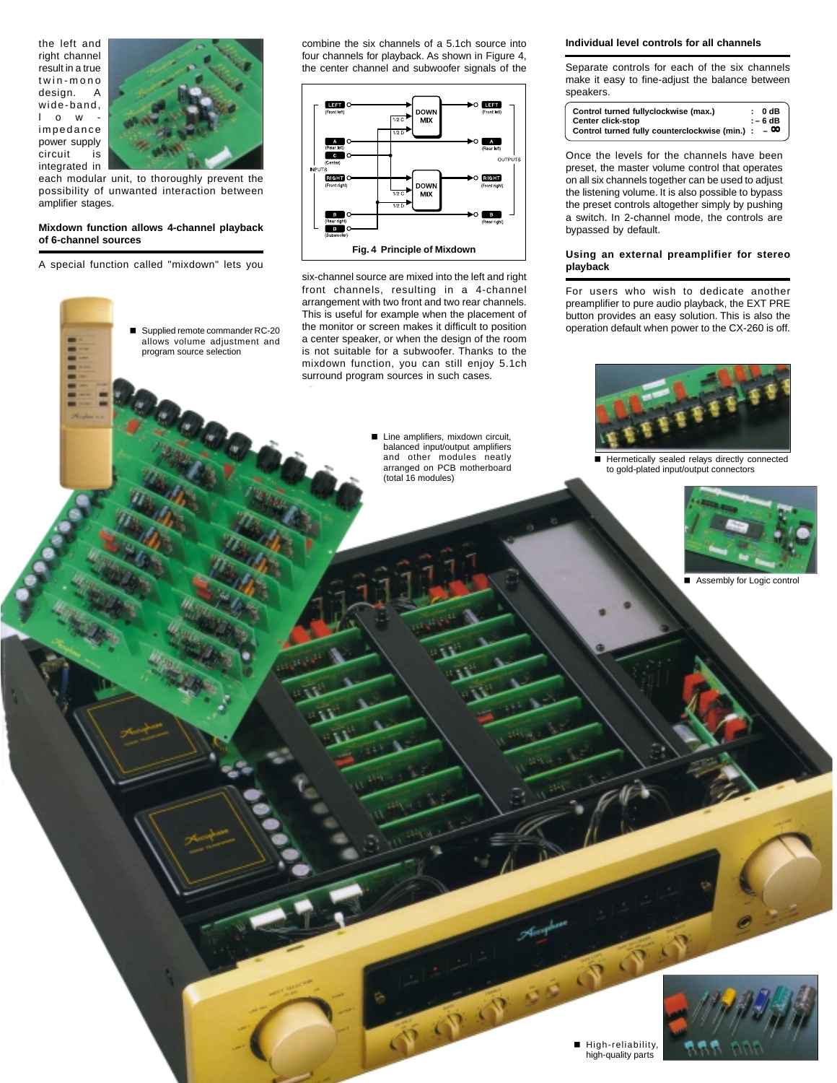the left and right channel result in a true twin-mono design. A wide-band, lowimpedance power supply circuit is integrated in



 Supplied remote commander RC-20 allows volume adjustment and program source selection

each modular unit, to thoroughly prevent the possibility of unwanted interaction between amplifier stages.

### **Mixdown function allows 4-channel playback of 6-channel sources**

A special function called "mixdown" lets you

-



six-channel source are mixed into the left and right front channels, resulting in a 4-channel arrangement with two front and two rear channels. This is useful for example when the placement of the monitor or screen makes it difficult to position a center speaker, or when the design of the room is not suitable for a subwoofer. Thanks to the mixdown function, you can still enjoy 5.1ch surround program sources in such cases.

> Line amplifiers, mixdown circuit, balanced input/output amplifiers and other modules neatly arranged on PCB motherboard (total 16 modules)

> > 中心

### **Individual level controls for all channels**

Separate controls for each of the six channels make it easy to fine-adjust the balance between speakers.

| Control turned fullyclockwise (max.)           | : 0dB     |
|------------------------------------------------|-----------|
| <b>Center click-stop</b>                       | $: -6dB$  |
| Control turned fully counterclockwise (min.) : | $-\infty$ |

Once the levels for the channels have been preset, the master volume control that operates on all six channels together can be used to adjust the listening volume. It is also possible to bypass the preset controls altogether simply by pushing a switch. In 2-channel mode, the controls are bypassed by default.

### **Using an external preamplifier for stereo playback**

For users who wish to dedicate another preamplifier to pure audio playback, the EXT PRE button provides an easy solution. This is also the operation default when power to the CX-260 is off.



Hermetically sealed relays directly connected to gold-plated input/output connectors



-Assembly for Logic control